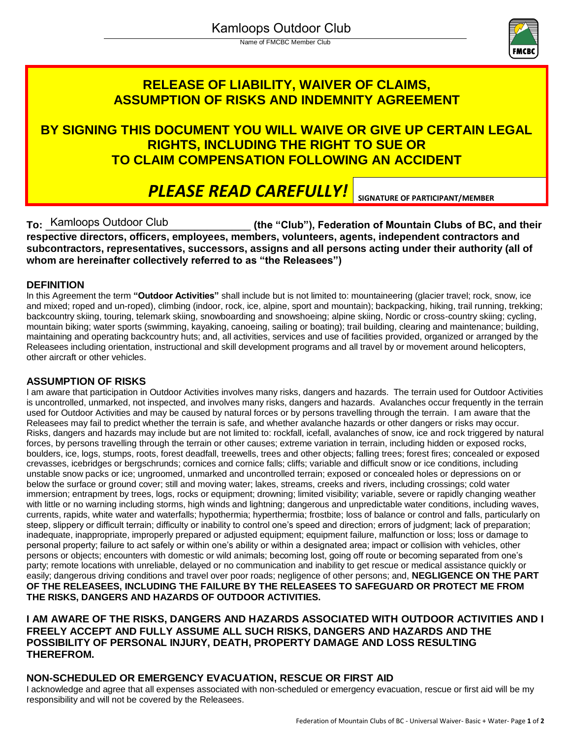Name of FMCBC Member Club



# **RELEASE OF LIABILITY, WAIVER OF CLAIMS, ASSUMPTION OF RISKS AND INDEMNITY AGREEMENT**

# **BY SIGNING THIS DOCUMENT YOU WILL WAIVE OR GIVE UP CERTAIN LEGAL RIGHTS, INCLUDING THE RIGHT TO SUE OR TO CLAIM COMPENSATION FOLLOWING AN ACCIDENT**

# *PLEASE READ CAREFULLY!* **SIGNATURE OF PARTICIPANT/MEMBER**

**To:** \_\_\_\_\_\_\_\_\_\_\_\_\_\_\_\_\_\_\_\_\_\_\_\_\_\_\_\_\_\_\_\_\_ **(the "Club"), Federation of Mountain Clubs of BC, and their respective directors, officers, employees, members, volunteers, agents, independent contractors and subcontractors, representatives, successors, assigns and all persons acting under their authority (all of whom are hereinafter collectively referred to as "the Releasees")** To: Kamloops Outdoor Club

## **DEFINITION**

In this Agreement the term **"Outdoor Activities"** shall include but is not limited to: mountaineering (glacier travel; rock, snow, ice and mixed; roped and un-roped), climbing (indoor, rock, ice, alpine, sport and mountain); backpacking, hiking, trail running, trekking; backcountry skiing, touring, telemark skiing, snowboarding and snowshoeing; alpine skiing, Nordic or cross-country skiing; cycling, mountain biking; water sports (swimming, kayaking, canoeing, sailing or boating); trail building, clearing and maintenance; building, maintaining and operating backcountry huts; and, all activities, services and use of facilities provided, organized or arranged by the Releasees including orientation, instructional and skill development programs and all travel by or movement around helicopters, other aircraft or other vehicles.

## **ASSUMPTION OF RISKS**

I am aware that participation in Outdoor Activities involves many risks, dangers and hazards. The terrain used for Outdoor Activities is uncontrolled, unmarked, not inspected, and involves many risks, dangers and hazards. Avalanches occur frequently in the terrain used for Outdoor Activities and may be caused by natural forces or by persons travelling through the terrain. I am aware that the Releasees may fail to predict whether the terrain is safe, and whether avalanche hazards or other dangers or risks may occur. Risks, dangers and hazards may include but are not limited to: rockfall, icefall, avalanches of snow, ice and rock triggered by natural forces, by persons travelling through the terrain or other causes; extreme variation in terrain, including hidden or exposed rocks, boulders, ice, logs, stumps, roots, forest deadfall, treewells, trees and other objects; falling trees; forest fires; concealed or exposed crevasses, icebridges or bergschrunds; cornices and cornice falls; cliffs; variable and difficult snow or ice conditions, including unstable snow packs or ice; ungroomed, unmarked and uncontrolled terrain; exposed or concealed holes or depressions on or below the surface or ground cover; still and moving water; lakes, streams, creeks and rivers, including crossings; cold water immersion; entrapment by trees, logs, rocks or equipment; drowning; limited visibility; variable, severe or rapidly changing weather with little or no warning including storms, high winds and lightning; dangerous and unpredictable water conditions, including waves, currents, rapids, white water and waterfalls; hypothermia; hyperthermia; frostbite; loss of balance or control and falls, particularly on steep, slippery or difficult terrain; difficulty or inability to control one's speed and direction; errors of judgment; lack of preparation; inadequate, inappropriate, improperly prepared or adjusted equipment; equipment failure, malfunction or loss; loss or damage to personal property; failure to act safely or within one's ability or within a designated area; impact or collision with vehicles, other persons or objects; encounters with domestic or wild animals; becoming lost, going off route or becoming separated from one's party; remote locations with unreliable, delayed or no communication and inability to get rescue or medical assistance quickly or easily; dangerous driving conditions and travel over poor roads; negligence of other persons; and, **NEGLIGENCE ON THE PART OF THE RELEASEES, INCLUDING THE FAILURE BY THE RELEASEES TO SAFEGUARD OR PROTECT ME FROM THE RISKS, DANGERS AND HAZARDS OF OUTDOOR ACTIVITIES.** 

### **I AM AWARE OF THE RISKS, DANGERS AND HAZARDS ASSOCIATED WITH OUTDOOR ACTIVITIES AND I FREELY ACCEPT AND FULLY ASSUME ALL SUCH RISKS, DANGERS AND HAZARDS AND THE POSSIBILITY OF PERSONAL INJURY, DEATH, PROPERTY DAMAGE AND LOSS RESULTING THEREFROM.**

# **NON-SCHEDULED OR EMERGENCY EVACUATION, RESCUE OR FIRST AID**

I acknowledge and agree that all expenses associated with non-scheduled or emergency evacuation, rescue or first aid will be my responsibility and will not be covered by the Releasees.